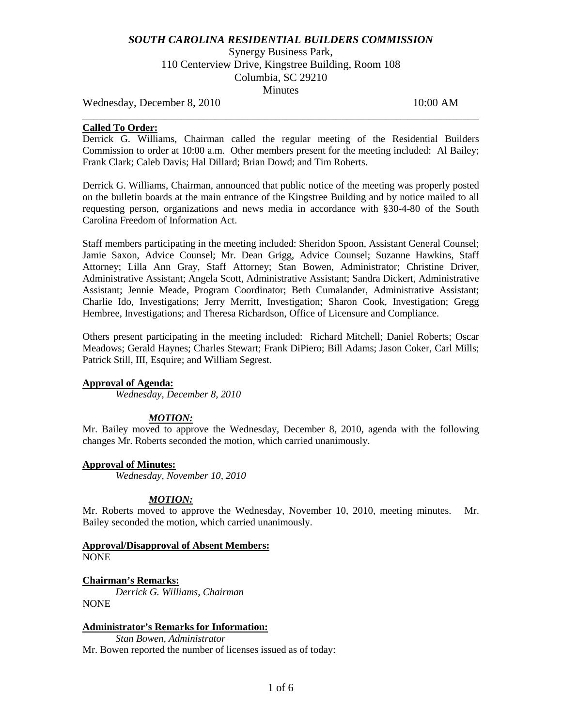# *SOUTH CAROLINA RESIDENTIAL BUILDERS COMMISSION*

Synergy Business Park, 110 Centerview Drive, Kingstree Building, Room 108 Columbia, SC 29210 **Minutes** 

Wednesday, December 8, 2010 10:00 AM

# **Called To Order:**

Derrick G. Williams, Chairman called the regular meeting of the Residential Builders Commission to order at 10:00 a.m. Other members present for the meeting included: Al Bailey; Frank Clark; Caleb Davis; Hal Dillard; Brian Dowd; and Tim Roberts.

\_\_\_\_\_\_\_\_\_\_\_\_\_\_\_\_\_\_\_\_\_\_\_\_\_\_\_\_\_\_\_\_\_\_\_\_\_\_\_\_\_\_\_\_\_\_\_\_\_\_\_\_\_\_\_\_\_\_\_\_\_\_\_\_\_\_\_\_\_\_\_\_

Derrick G. Williams, Chairman, announced that public notice of the meeting was properly posted on the bulletin boards at the main entrance of the Kingstree Building and by notice mailed to all requesting person, organizations and news media in accordance with §30-4-80 of the South Carolina Freedom of Information Act.

Staff members participating in the meeting included: Sheridon Spoon, Assistant General Counsel; Jamie Saxon, Advice Counsel; Mr. Dean Grigg, Advice Counsel; Suzanne Hawkins, Staff Attorney; Lilla Ann Gray, Staff Attorney; Stan Bowen, Administrator; Christine Driver, Administrative Assistant; Angela Scott, Administrative Assistant; Sandra Dickert, Administrative Assistant; Jennie Meade, Program Coordinator; Beth Cumalander, Administrative Assistant; Charlie Ido, Investigations; Jerry Merritt, Investigation; Sharon Cook, Investigation; Gregg Hembree, Investigations; and Theresa Richardson, Office of Licensure and Compliance.

Others present participating in the meeting included: Richard Mitchell; Daniel Roberts; Oscar Meadows; Gerald Haynes; Charles Stewart; Frank DiPiero; Bill Adams; Jason Coker, Carl Mills; Patrick Still, III, Esquire; and William Segrest.

## **Approval of Agenda:**

*Wednesday, December 8, 2010*

## *MOTION:*

Mr. Bailey moved to approve the Wednesday, December 8, 2010, agenda with the following changes Mr. Roberts seconded the motion, which carried unanimously.

## **Approval of Minutes:**

*Wednesday, November 10, 2010*

# *MOTION:*

Mr. Roberts moved to approve the Wednesday, November 10, 2010, meeting minutes. Mr. Bailey seconded the motion, which carried unanimously.

#### **Approval/Disapproval of Absent Members:** NONE

**Chairman's Remarks:** *Derrick G. Williams, Chairman* NONE

## **Administrator's Remarks for Information:** *Stan Bowen, Administrator*

Mr. Bowen reported the number of licenses issued as of today: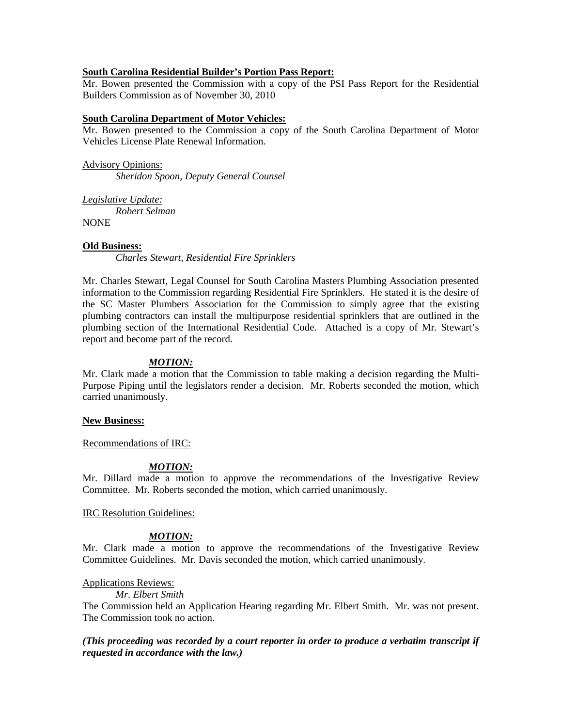# **South Carolina Residential Builder's Portion Pass Report:**

Mr. Bowen presented the Commission with a copy of the PSI Pass Report for the Residential Builders Commission as of November 30, 2010

# **South Carolina Department of Motor Vehicles:**

Mr. Bowen presented to the Commission a copy of the South Carolina Department of Motor Vehicles License Plate Renewal Information.

Advisory Opinions: *Sheridon Spoon, Deputy General Counsel*

*Legislative Update: Robert Selman* **NONE** 

# **Old Business:**

*Charles Stewart, Residential Fire Sprinklers*

Mr. Charles Stewart, Legal Counsel for South Carolina Masters Plumbing Association presented information to the Commission regarding Residential Fire Sprinklers. He stated it is the desire of the SC Master Plumbers Association for the Commission to simply agree that the existing plumbing contractors can install the multipurpose residential sprinklers that are outlined in the plumbing section of the International Residential Code. Attached is a copy of Mr. Stewart's report and become part of the record.

## *MOTION:*

Mr. Clark made a motion that the Commission to table making a decision regarding the Multi-Purpose Piping until the legislators render a decision. Mr. Roberts seconded the motion, which carried unanimously.

## **New Business:**

Recommendations of IRC:

## *MOTION:*

Mr. Dillard made a motion to approve the recommendations of the Investigative Review Committee. Mr. Roberts seconded the motion, which carried unanimously.

## IRC Resolution Guidelines:

## *MOTION:*

Mr. Clark made a motion to approve the recommendations of the Investigative Review Committee Guidelines. Mr. Davis seconded the motion, which carried unanimously.

## Applications Reviews:

## *Mr. Elbert Smith*

The Commission held an Application Hearing regarding Mr. Elbert Smith. Mr. was not present. The Commission took no action.

# *(This proceeding was recorded by a court reporter in order to produce a verbatim transcript if requested in accordance with the law.)*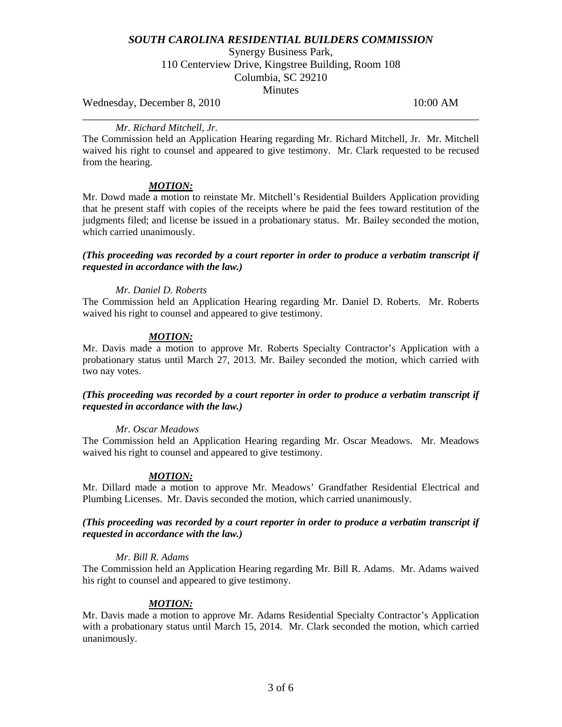# *SOUTH CAROLINA RESIDENTIAL BUILDERS COMMISSION*

Synergy Business Park, 110 Centerview Drive, Kingstree Building, Room 108 Columbia, SC 29210 **Minutes** 

Wednesday, December 8, 2010 10:00 AM

# \_\_\_\_\_\_\_\_\_\_\_\_\_\_\_\_\_\_\_\_\_\_\_\_\_\_\_\_\_\_\_\_\_\_\_\_\_\_\_\_\_\_\_\_\_\_\_\_\_\_\_\_\_\_\_\_\_\_\_\_\_\_\_\_\_\_\_\_\_\_\_\_ *Mr. Richard Mitchell, Jr.*

The Commission held an Application Hearing regarding Mr. Richard Mitchell, Jr. Mr. Mitchell waived his right to counsel and appeared to give testimony. Mr. Clark requested to be recused from the hearing.

# *MOTION:*

Mr. Dowd made a motion to reinstate Mr. Mitchell's Residential Builders Application providing that he present staff with copies of the receipts where he paid the fees toward restitution of the judgments filed; and license be issued in a probationary status. Mr. Bailey seconded the motion, which carried unanimously.

*(This proceeding was recorded by a court reporter in order to produce a verbatim transcript if requested in accordance with the law.)*

## *Mr. Daniel D. Roberts*

The Commission held an Application Hearing regarding Mr. Daniel D. Roberts. Mr. Roberts waived his right to counsel and appeared to give testimony.

#### *MOTION:*

Mr. Davis made a motion to approve Mr. Roberts Specialty Contractor's Application with a probationary status until March 27, 2013. Mr. Bailey seconded the motion, which carried with two nay votes.

# *(This proceeding was recorded by a court reporter in order to produce a verbatim transcript if requested in accordance with the law.)*

#### *Mr. Oscar Meadows*

The Commission held an Application Hearing regarding Mr. Oscar Meadows. Mr. Meadows waived his right to counsel and appeared to give testimony.

## *MOTION:*

Mr. Dillard made a motion to approve Mr. Meadows' Grandfather Residential Electrical and Plumbing Licenses. Mr. Davis seconded the motion, which carried unanimously.

# *(This proceeding was recorded by a court reporter in order to produce a verbatim transcript if requested in accordance with the law.)*

#### *Mr. Bill R. Adams*

The Commission held an Application Hearing regarding Mr. Bill R. Adams. Mr. Adams waived his right to counsel and appeared to give testimony.

## *MOTION:*

Mr. Davis made a motion to approve Mr. Adams Residential Specialty Contractor's Application with a probationary status until March 15, 2014. Mr. Clark seconded the motion, which carried unanimously.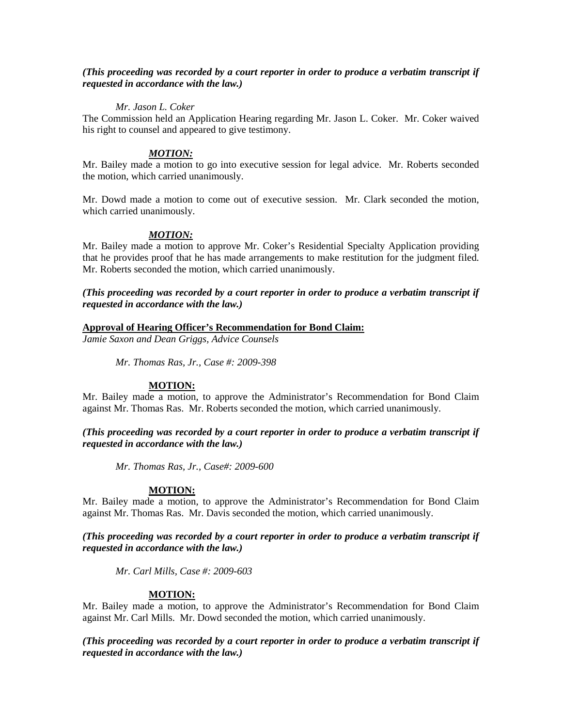# *(This proceeding was recorded by a court reporter in order to produce a verbatim transcript if requested in accordance with the law.)*

# *Mr. Jason L. Coker*

The Commission held an Application Hearing regarding Mr. Jason L. Coker. Mr. Coker waived his right to counsel and appeared to give testimony.

# *MOTION:*

Mr. Bailey made a motion to go into executive session for legal advice. Mr. Roberts seconded the motion, which carried unanimously.

Mr. Dowd made a motion to come out of executive session. Mr. Clark seconded the motion, which carried unanimously.

# *MOTION:*

Mr. Bailey made a motion to approve Mr. Coker's Residential Specialty Application providing that he provides proof that he has made arrangements to make restitution for the judgment filed. Mr. Roberts seconded the motion, which carried unanimously.

# *(This proceeding was recorded by a court reporter in order to produce a verbatim transcript if requested in accordance with the law.)*

# **Approval of Hearing Officer's Recommendation for Bond Claim:**

*Jamie Saxon and Dean Griggs, Advice Counsels*

*Mr. Thomas Ras, Jr., Case #: 2009-398*

# **MOTION:**

Mr. Bailey made a motion, to approve the Administrator's Recommendation for Bond Claim against Mr. Thomas Ras. Mr. Roberts seconded the motion, which carried unanimously.

*(This proceeding was recorded by a court reporter in order to produce a verbatim transcript if requested in accordance with the law.)*

*Mr. Thomas Ras, Jr., Case#: 2009-600*

# **MOTION:**

Mr. Bailey made a motion, to approve the Administrator's Recommendation for Bond Claim against Mr. Thomas Ras. Mr. Davis seconded the motion, which carried unanimously.

*(This proceeding was recorded by a court reporter in order to produce a verbatim transcript if requested in accordance with the law.)*

*Mr. Carl Mills, Case #: 2009-603*

## **MOTION:**

Mr. Bailey made a motion, to approve the Administrator's Recommendation for Bond Claim against Mr. Carl Mills. Mr. Dowd seconded the motion, which carried unanimously.

*(This proceeding was recorded by a court reporter in order to produce a verbatim transcript if requested in accordance with the law.)*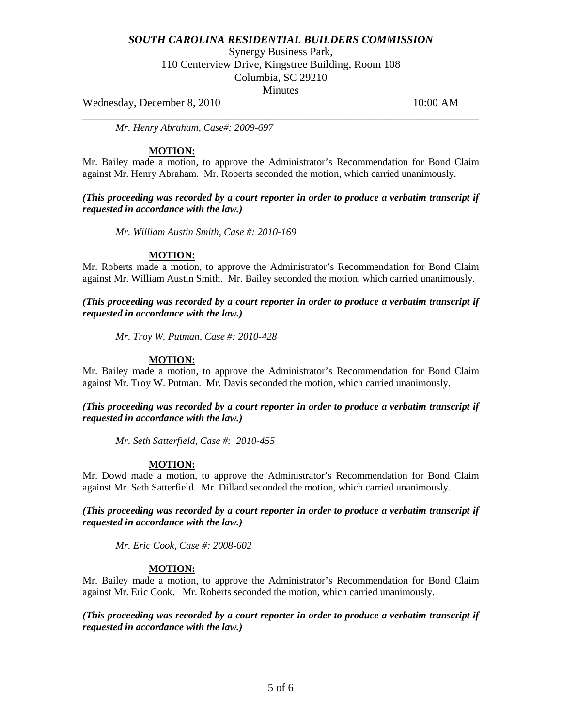# *SOUTH CAROLINA RESIDENTIAL BUILDERS COMMISSION*

Synergy Business Park,

110 Centerview Drive, Kingstree Building, Room 108

Columbia, SC 29210

**Minutes** 

\_\_\_\_\_\_\_\_\_\_\_\_\_\_\_\_\_\_\_\_\_\_\_\_\_\_\_\_\_\_\_\_\_\_\_\_\_\_\_\_\_\_\_\_\_\_\_\_\_\_\_\_\_\_\_\_\_\_\_\_\_\_\_\_\_\_\_\_\_\_\_\_

Wednesday, December 8, 2010 10:00 AM

*Mr. Henry Abraham, Case#: 2009-697*

# **MOTION:**

Mr. Bailey made a motion, to approve the Administrator's Recommendation for Bond Claim against Mr. Henry Abraham. Mr. Roberts seconded the motion, which carried unanimously.

*(This proceeding was recorded by a court reporter in order to produce a verbatim transcript if requested in accordance with the law.)*

*Mr. William Austin Smith, Case #: 2010-169*

## **MOTION:**

Mr. Roberts made a motion, to approve the Administrator's Recommendation for Bond Claim against Mr. William Austin Smith. Mr. Bailey seconded the motion, which carried unanimously.

*(This proceeding was recorded by a court reporter in order to produce a verbatim transcript if requested in accordance with the law.)*

*Mr. Troy W. Putman, Case #: 2010-428*

# **MOTION:**

Mr. Bailey made a motion, to approve the Administrator's Recommendation for Bond Claim against Mr. Troy W. Putman. Mr. Davis seconded the motion, which carried unanimously.

*(This proceeding was recorded by a court reporter in order to produce a verbatim transcript if requested in accordance with the law.)*

*Mr. Seth Satterfield, Case #: 2010-455*

# **MOTION:**

Mr. Dowd made a motion, to approve the Administrator's Recommendation for Bond Claim against Mr. Seth Satterfield. Mr. Dillard seconded the motion, which carried unanimously.

*(This proceeding was recorded by a court reporter in order to produce a verbatim transcript if requested in accordance with the law.)*

*Mr. Eric Cook, Case #: 2008-602*

## **MOTION:**

Mr. Bailey made a motion, to approve the Administrator's Recommendation for Bond Claim against Mr. Eric Cook. Mr. Roberts seconded the motion, which carried unanimously.

*(This proceeding was recorded by a court reporter in order to produce a verbatim transcript if requested in accordance with the law.)*